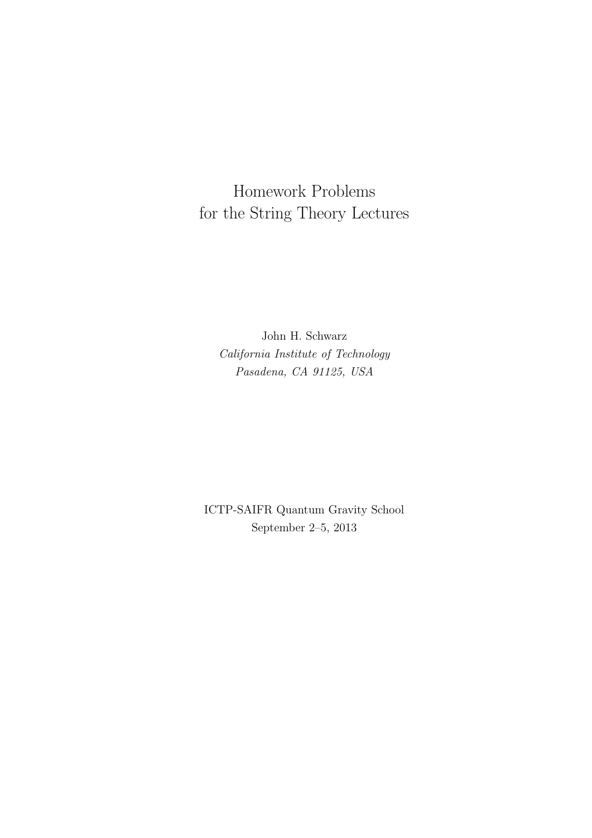Homework Problems for the String Theory Lectures

John H. Schwarz *California Institute of Technology Pasadena, CA 91125, USA*

ICTP-SAIFR Quantum Gravity School September 2–5, 2013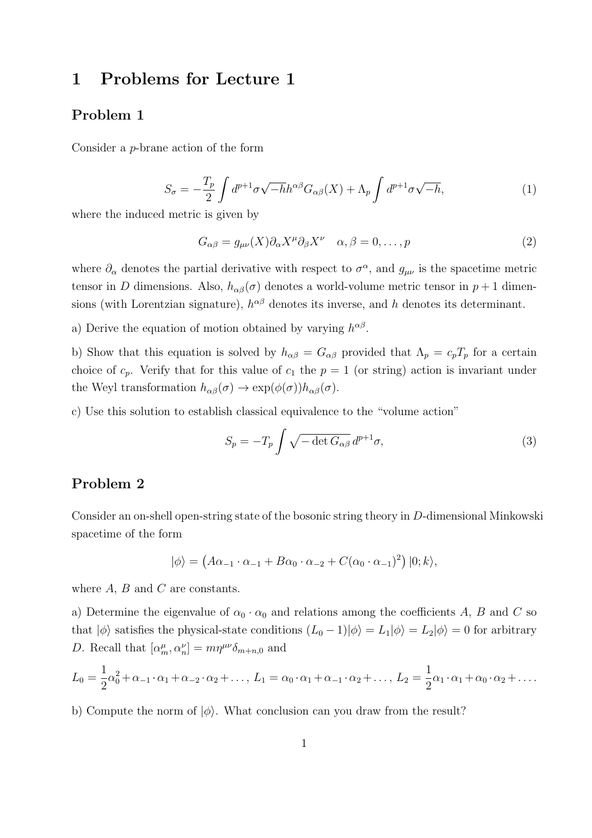## **1 Problems for Lecture 1**

#### **Problem 1**

Consider a *p*-brane action of the form

$$
S_{\sigma} = -\frac{T_p}{2} \int d^{p+1} \sigma \sqrt{-h} h^{\alpha \beta} G_{\alpha \beta}(X) + \Lambda_p \int d^{p+1} \sigma \sqrt{-h}, \qquad (1)
$$

where the induced metric is given by

$$
G_{\alpha\beta} = g_{\mu\nu}(X)\partial_{\alpha}X^{\mu}\partial_{\beta}X^{\nu} \quad \alpha, \beta = 0, \dots, p
$$
\n(2)

where  $\partial_{\alpha}$  denotes the partial derivative with respect to  $\sigma^{\alpha}$ , and  $g_{\mu\nu}$  is the spacetime metric tensor in *D* dimensions. Also,  $h_{\alpha\beta}(\sigma)$  denotes a world-volume metric tensor in  $p+1$  dimensions (with Lorentzian signature),  $h^{\alpha\beta}$  denotes its inverse, and *h* denotes its determinant.

a) Derive the equation of motion obtained by varying  $h^{\alpha\beta}$ .

b) Show that this equation is solved by  $h_{\alpha\beta} = G_{\alpha\beta}$  provided that  $\Lambda_p = c_p T_p$  for a certain choice of  $c_p$ . Verify that for this value of  $c_1$  the  $p = 1$  (or string) action is invariant under the Weyl transformation  $h_{\alpha\beta}(\sigma) \to \exp(\phi(\sigma))h_{\alpha\beta}(\sigma)$ .

c) Use this solution to establish classical equivalence to the "volume action"

$$
S_p = -T_p \int \sqrt{-\det G_{\alpha\beta}} \, d^{p+1}\sigma,\tag{3}
$$

### **Problem 2**

Consider an on-shell open-string state of the bosonic string theory in *D*-dimensional Minkowski spacetime of the form

$$
|\phi\rangle = (A\alpha_{-1}\cdot\alpha_{-1} + B\alpha_0\cdot\alpha_{-2} + C(\alpha_0\cdot\alpha_{-1})^2) |0; k\rangle,
$$

where *A*, *B* and *C* are constants.

a) Determine the eigenvalue of  $\alpha_0 \cdot \alpha_0$  and relations among the coefficients *A*, *B* and *C* so that  $|\phi\rangle$  satisfies the physical-state conditions  $(L_0 - 1)|\phi\rangle = L_1|\phi\rangle = L_2|\phi\rangle = 0$  for arbitrary *D*. Recall that  $\left[\alpha_m^{\mu}, \alpha_n^{\nu}\right] = m\eta^{\mu\nu}\delta_{m+n,0}$  and

$$
L_0 = \frac{1}{2}\alpha_0^2 + \alpha_{-1} \cdot \alpha_1 + \alpha_{-2} \cdot \alpha_2 + \dots, L_1 = \alpha_0 \cdot \alpha_1 + \alpha_{-1} \cdot \alpha_2 + \dots, L_2 = \frac{1}{2}\alpha_1 \cdot \alpha_1 + \alpha_0 \cdot \alpha_2 + \dots
$$

b) Compute the norm of  $|\phi\rangle$ . What conclusion can you draw from the result?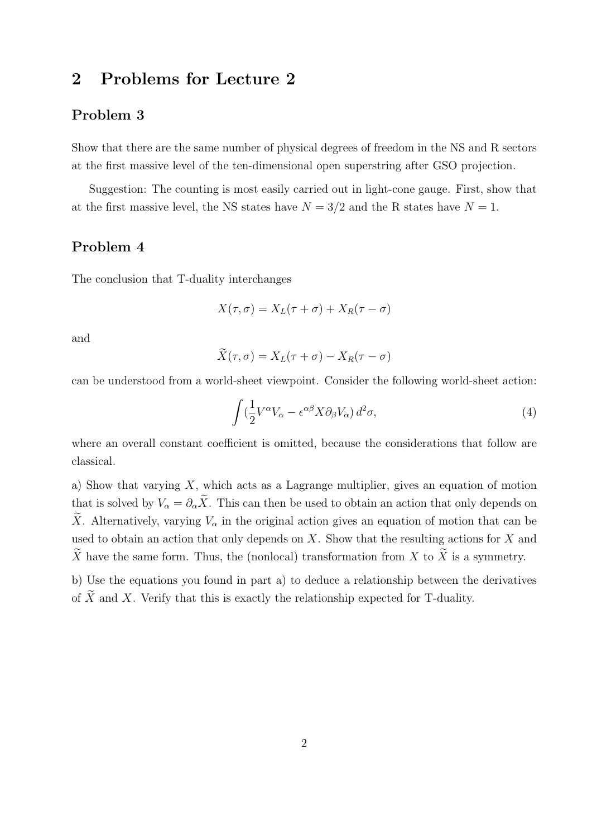# **2 Problems for Lecture 2**

#### **Problem 3**

Show that there are the same number of physical degrees of freedom in the NS and R sectors at the first massive level of the ten-dimensional open superstring after GSO projection.

Suggestion: The counting is most easily carried out in light-cone gauge. First, show that at the first massive level, the NS states have  $N = 3/2$  and the R states have  $N = 1$ .

### **Problem 4**

The conclusion that T-duality interchanges

$$
X(\tau,\sigma) = X_L(\tau+\sigma) + X_R(\tau-\sigma)
$$

and

$$
\tilde{X}(\tau,\sigma) = X_L(\tau+\sigma) - X_R(\tau-\sigma)
$$

can be understood from a world-sheet viewpoint. Consider the following world-sheet action:

$$
\int (\frac{1}{2}V^{\alpha}V_{\alpha} - \epsilon^{\alpha\beta}X\partial_{\beta}V_{\alpha}) d^2\sigma,
$$
\n(4)

where an overall constant coefficient is omitted, because the considerations that follow are classical.

a) Show that varying *X*, which acts as a Lagrange multiplier, gives an equation of motion that is solved by  $V_{\alpha} = \partial_{\alpha} \tilde{X}$ . This can then be used to obtain an action that only depends on  $\widetilde{X}$ . Alternatively, varying  $V_{\alpha}$  in the original action gives an equation of motion that can be used to obtain an action that only depends on *X*. Show that the resulting actions for *X* and  $\widetilde{X}$  have the same form. Thus, the (nonlocal) transformation from *X* to  $\widetilde{X}$  is a symmetry.

b) Use the equations you found in part a) to deduce a relationship between the derivatives of  $\widetilde{X}$  and *X*. Verify that this is exactly the relationship expected for T-duality.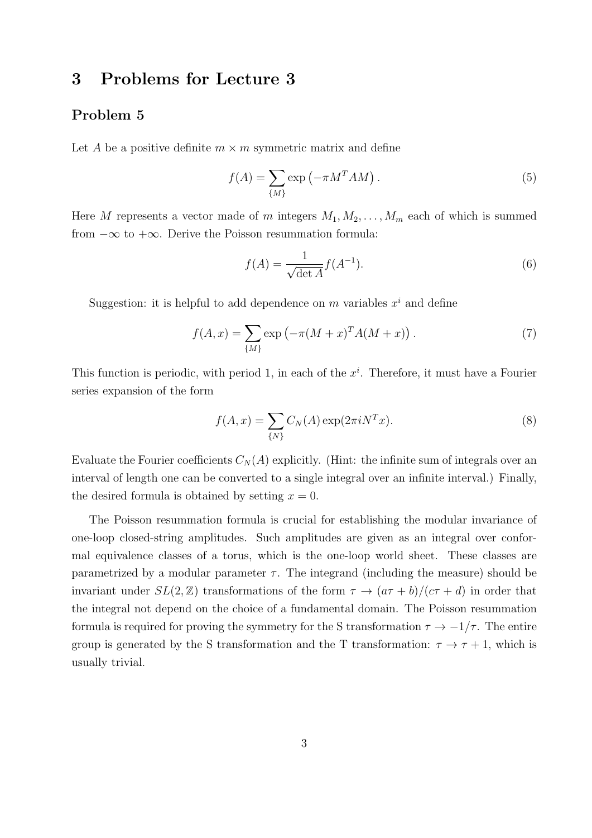## **3 Problems for Lecture 3**

#### **Problem 5**

Let *A* be a positive definite  $m \times m$  symmetric matrix and define

$$
f(A) = \sum_{\{M\}} \exp\left(-\pi M^T A M\right). \tag{5}
$$

Here *M* represents a vector made of *m* integers  $M_1, M_2, \ldots, M_m$  each of which is summed from *−∞* to +*∞*. Derive the Poisson resummation formula:

$$
f(A) = \frac{1}{\sqrt{\det A}} f(A^{-1}).
$$
\n<sup>(6)</sup>

Suggestion: it is helpful to add dependence on  $m$  variables  $x^i$  and define

$$
f(A, x) = \sum_{\{M\}} \exp(-\pi (M + x)^T A (M + x)).
$$
 (7)

This function is periodic, with period 1, in each of the *x i* . Therefore, it must have a Fourier series expansion of the form

$$
f(A, x) = \sum_{\{N\}} C_N(A) \exp(2\pi i N^T x).
$$
 (8)

Evaluate the Fourier coefficients  $C_N(A)$  explicitly. (Hint: the infinite sum of integrals over an interval of length one can be converted to a single integral over an infinite interval.) Finally, the desired formula is obtained by setting  $x = 0$ .

The Poisson resummation formula is crucial for establishing the modular invariance of one-loop closed-string amplitudes. Such amplitudes are given as an integral over conformal equivalence classes of a torus, which is the one-loop world sheet. These classes are parametrized by a modular parameter  $\tau$ . The integrand (including the measure) should be invariant under  $SL(2, \mathbb{Z})$  transformations of the form  $\tau \to (a\tau + b)/(c\tau + d)$  in order that the integral not depend on the choice of a fundamental domain. The Poisson resummation formula is required for proving the symmetry for the S transformation  $\tau \to -1/\tau$ . The entire group is generated by the S transformation and the T transformation:  $\tau \to \tau + 1$ , which is usually trivial.